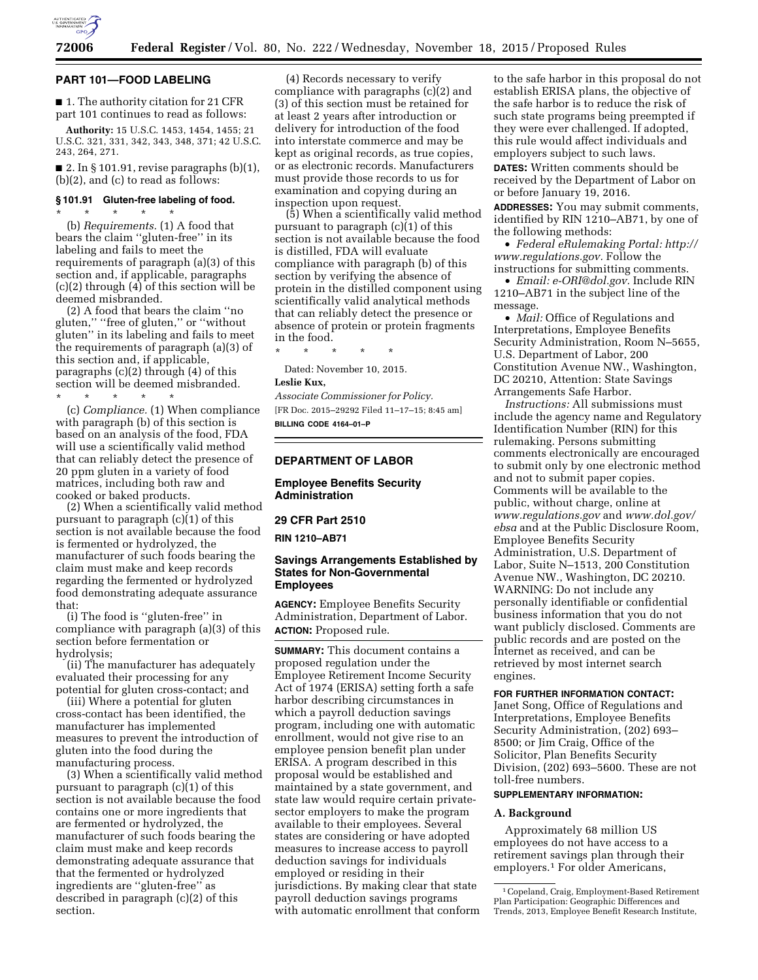

#### **PART 101—FOOD LABELING**

■ 1. The authority citation for 21 CFR part 101 continues to read as follows:

**Authority:** 15 U.S.C. 1453, 1454, 1455; 21 U.S.C. 321, 331, 342, 343, 348, 371; 42 U.S.C. 243, 264, 271.

■ 2. In § 101.91, revise paragraphs  $(b)(1)$ , (b)(2), and (c) to read as follows:

### **§ 101.91 Gluten-free labeling of food.**

\* \* \* \* \* (b) *Requirements.* (1) A food that bears the claim ''gluten-free'' in its labeling and fails to meet the requirements of paragraph (a)(3) of this section and, if applicable, paragraphs (c)(2) through (4) of this section will be deemed misbranded.

(2) A food that bears the claim ''no gluten,'' ''free of gluten,'' or ''without gluten'' in its labeling and fails to meet the requirements of paragraph (a)(3) of this section and, if applicable, paragraphs (c)(2) through (4) of this section will be deemed misbranded.

\* \* \* \* \*

(c) *Compliance.* (1) When compliance with paragraph (b) of this section is based on an analysis of the food, FDA will use a scientifically valid method that can reliably detect the presence of 20 ppm gluten in a variety of food matrices, including both raw and cooked or baked products.

(2) When a scientifically valid method pursuant to paragraph (c)(1) of this section is not available because the food is fermented or hydrolyzed, the manufacturer of such foods bearing the claim must make and keep records regarding the fermented or hydrolyzed food demonstrating adequate assurance that:

(i) The food is ''gluten-free'' in compliance with paragraph (a)(3) of this section before fermentation or hydrolysis;

(ii) The manufacturer has adequately evaluated their processing for any potential for gluten cross-contact; and

(iii) Where a potential for gluten cross-contact has been identified, the manufacturer has implemented measures to prevent the introduction of gluten into the food during the manufacturing process.

(3) When a scientifically valid method pursuant to paragraph (c)(1) of this section is not available because the food contains one or more ingredients that are fermented or hydrolyzed, the manufacturer of such foods bearing the claim must make and keep records demonstrating adequate assurance that that the fermented or hydrolyzed ingredients are ''gluten-free'' as described in paragraph (c)(2) of this section.

(4) Records necessary to verify compliance with paragraphs (c)(2) and (3) of this section must be retained for at least 2 years after introduction or delivery for introduction of the food into interstate commerce and may be kept as original records, as true copies, or as electronic records. Manufacturers must provide those records to us for examination and copying during an inspection upon request.

(5) When a scientifically valid method pursuant to paragraph (c)(1) of this section is not available because the food is distilled, FDA will evaluate compliance with paragraph (b) of this section by verifying the absence of protein in the distilled component using scientifically valid analytical methods that can reliably detect the presence or absence of protein or protein fragments in the food.

\* \* \* \* \* Dated: November 10, 2015.

### **Leslie Kux,**

*Associate Commissioner for Policy.* 

[FR Doc. 2015–29292 Filed 11–17–15; 8:45 am] **BILLING CODE 4164–01–P** 

## **DEPARTMENT OF LABOR**

## **Employee Benefits Security Administration**

### **29 CFR Part 2510**

**RIN 1210–AB71** 

## **Savings Arrangements Established by States for Non-Governmental Employees**

**AGENCY:** Employee Benefits Security Administration, Department of Labor. **ACTION:** Proposed rule.

**SUMMARY:** This document contains a proposed regulation under the Employee Retirement Income Security Act of 1974 (ERISA) setting forth a safe harbor describing circumstances in which a payroll deduction savings program, including one with automatic enrollment, would not give rise to an employee pension benefit plan under ERISA. A program described in this proposal would be established and maintained by a state government, and state law would require certain privatesector employers to make the program available to their employees. Several states are considering or have adopted measures to increase access to payroll deduction savings for individuals employed or residing in their jurisdictions. By making clear that state payroll deduction savings programs with automatic enrollment that conform to the safe harbor in this proposal do not establish ERISA plans, the objective of the safe harbor is to reduce the risk of such state programs being preempted if they were ever challenged. If adopted, this rule would affect individuals and employers subject to such laws.

**DATES:** Written comments should be received by the Department of Labor on or before January 19, 2016.

**ADDRESSES:** You may submit comments, identified by RIN 1210–AB71, by one of the following methods:

• *Federal eRulemaking Portal: [http://](http://www.regulations.gov)  [www.regulations.gov.](http://www.regulations.gov)* Follow the instructions for submitting comments.

• *Email: [e-ORI@dol.gov.](mailto:e-ORI@dol.gov)* Include RIN 1210–AB71 in the subject line of the message.

• *Mail:* Office of Regulations and Interpretations, Employee Benefits Security Administration, Room N–5655, U.S. Department of Labor, 200 Constitution Avenue NW., Washington, DC 20210, Attention: State Savings Arrangements Safe Harbor.

*Instructions:* All submissions must include the agency name and Regulatory Identification Number (RIN) for this rulemaking. Persons submitting comments electronically are encouraged to submit only by one electronic method and not to submit paper copies. Comments will be available to the public, without charge, online at *[www.regulations.gov](http://www.regulations.gov)* and *[www.dol.gov/](http://www.dol.gov/ebsa) [ebsa](http://www.dol.gov/ebsa)* and at the Public Disclosure Room, Employee Benefits Security Administration, U.S. Department of Labor, Suite N–1513, 200 Constitution Avenue NW., Washington, DC 20210. WARNING: Do not include any personally identifiable or confidential business information that you do not want publicly disclosed. Comments are public records and are posted on the Internet as received, and can be retrieved by most internet search engines.

## **FOR FURTHER INFORMATION CONTACT:**

Janet Song, Office of Regulations and Interpretations, Employee Benefits Security Administration, (202) 693– 8500; or Jim Craig, Office of the Solicitor, Plan Benefits Security Division, (202) 693–5600. These are not toll-free numbers.

### **SUPPLEMENTARY INFORMATION:**

#### **A. Background**

Approximately 68 million US employees do not have access to a retirement savings plan through their employers.1 For older Americans,

<sup>1</sup>Copeland, Craig, Employment-Based Retirement Plan Participation: Geographic Differences and Trends, 2013, Employee Benefit Research Institute,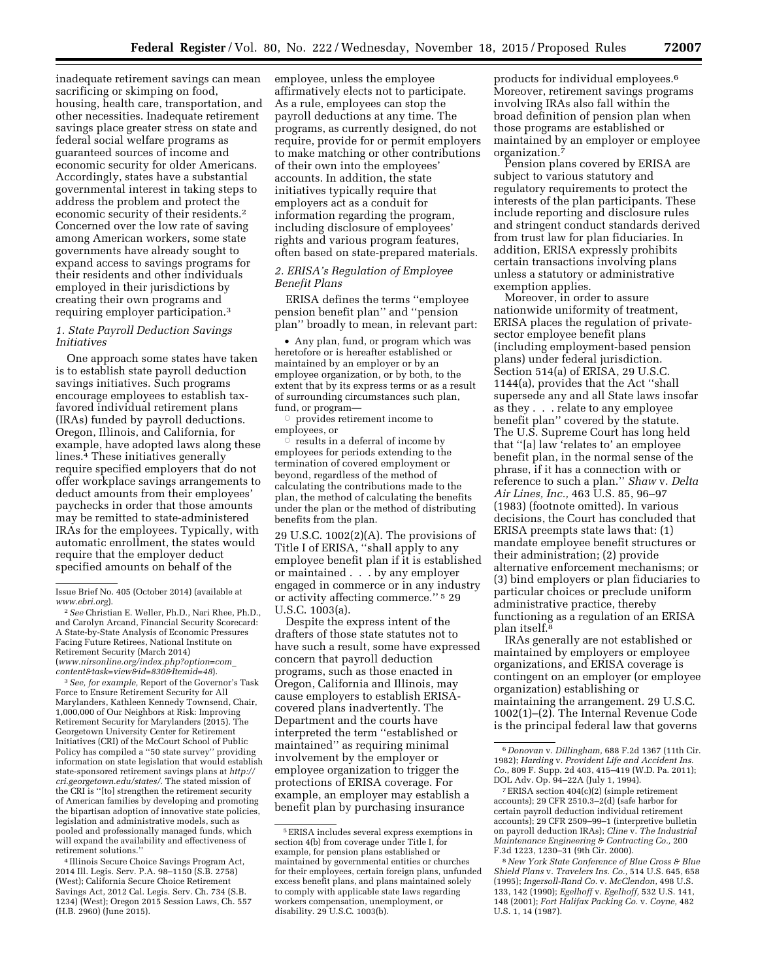inadequate retirement savings can mean sacrificing or skimping on food, housing, health care, transportation, and other necessities. Inadequate retirement savings place greater stress on state and federal social welfare programs as guaranteed sources of income and economic security for older Americans. Accordingly, states have a substantial governmental interest in taking steps to address the problem and protect the economic security of their residents.2 Concerned over the low rate of saving among American workers, some state governments have already sought to expand access to savings programs for their residents and other individuals employed in their jurisdictions by creating their own programs and requiring employer participation.3

## *1. State Payroll Deduction Savings Initiatives*

One approach some states have taken is to establish state payroll deduction savings initiatives. Such programs encourage employees to establish taxfavored individual retirement plans (IRAs) funded by payroll deductions. Oregon, Illinois, and California, for example, have adopted laws along these lines.<sup>4</sup> These initiatives generally require specified employers that do not offer workplace savings arrangements to deduct amounts from their employees' paychecks in order that those amounts may be remitted to state-administered IRAs for the employees. Typically, with automatic enrollment, the states would require that the employer deduct specified amounts on behalf of the

2*See* Christian E. Weller, Ph.D., Nari Rhee, Ph.D., and Carolyn Arcand, Financial Security Scorecard: A State-by-State Analysis of Economic Pressures Facing Future Retirees, National Institute on Retirement Security (March 2014) (*[www.nirsonline.org/index.php?option=com](http://www.nirsonline.org/index.php?option=com_content&task=view&id=830&Itemid=48)*\_ *[content&task=view&id=830&Itemid=48](http://www.nirsonline.org/index.php?option=com_content&task=view&id=830&Itemid=48)*).

3*See, for example,* Report of the Governor's Task Force to Ensure Retirement Security for All Marylanders, Kathleen Kennedy Townsend, Chair, 1,000,000 of Our Neighbors at Risk: Improving Retirement Security for Marylanders (2015). The Georgetown University Center for Retirement Initiatives (CRI) of the McCourt School of Public Policy has compiled a ''50 state survey'' providing information on state legislation that would establish state-sponsored retirement savings plans at *[http://](http://cri.georgetown.edu/states/)  [cri.georgetown.edu/states/.](http://cri.georgetown.edu/states/)* The stated mission of the CRI is ''[to] strengthen the retirement security of American families by developing and promoting the bipartisan adoption of innovative state policies, legislation and administrative models, such as pooled and professionally managed funds, which will expand the availability and effectiveness of retirement solutions.''

4 Illinois Secure Choice Savings Program Act, 2014 Ill. Legis. Serv. P.A. 98–1150 (S.B. 2758) (West); California Secure Choice Retirement Savings Act, 2012 Cal. Legis. Serv. Ch. 734 (S.B. 1234) (West); Oregon 2015 Session Laws, Ch. 557 (H.B. 2960) (June 2015).

employee, unless the employee affirmatively elects not to participate. As a rule, employees can stop the payroll deductions at any time. The programs, as currently designed, do not require, provide for or permit employers to make matching or other contributions of their own into the employees' accounts. In addition, the state initiatives typically require that employers act as a conduit for information regarding the program, including disclosure of employees' rights and various program features, often based on state-prepared materials.

## *2. ERISA's Regulation of Employee Benefit Plans*

ERISA defines the terms ''employee pension benefit plan'' and ''pension plan'' broadly to mean, in relevant part:

• Any plan, fund, or program which was heretofore or is hereafter established or maintained by an employer or by an employee organization, or by both, to the extent that by its express terms or as a result of surrounding circumstances such plan, fund, or program—

 $\circ$  provides retirement income to employees, or

 $\circ$  results in a deferral of income by employees for periods extending to the termination of covered employment or beyond, regardless of the method of calculating the contributions made to the plan, the method of calculating the benefits under the plan or the method of distributing benefits from the plan.

29 U.S.C. 1002(2)(A). The provisions of Title I of ERISA, ''shall apply to any employee benefit plan if it is established or maintained . . . by any employer engaged in commerce or in any industry or activity affecting commerce.'' 5 29 U.S.C. 1003(a).

Despite the express intent of the drafters of those state statutes not to have such a result, some have expressed concern that payroll deduction programs, such as those enacted in Oregon, California and Illinois, may cause employers to establish ERISAcovered plans inadvertently. The Department and the courts have interpreted the term ''established or maintained'' as requiring minimal involvement by the employer or employee organization to trigger the protections of ERISA coverage. For example, an employer may establish a benefit plan by purchasing insurance

products for individual employees.6 Moreover, retirement savings programs involving IRAs also fall within the broad definition of pension plan when those programs are established or maintained by an employer or employee organization.7

Pension plans covered by ERISA are subject to various statutory and regulatory requirements to protect the interests of the plan participants. These include reporting and disclosure rules and stringent conduct standards derived from trust law for plan fiduciaries. In addition, ERISA expressly prohibits certain transactions involving plans unless a statutory or administrative exemption applies.

Moreover, in order to assure nationwide uniformity of treatment, ERISA places the regulation of privatesector employee benefit plans (including employment-based pension plans) under federal jurisdiction. Section 514(a) of ERISA, 29 U.S.C. 1144(a), provides that the Act ''shall supersede any and all State laws insofar as they . . . relate to any employee benefit plan'' covered by the statute. The U.S. Supreme Court has long held that ''[a] law 'relates to' an employee benefit plan, in the normal sense of the phrase, if it has a connection with or reference to such a plan.'' *Shaw* v. *Delta Air Lines, Inc.,* 463 U.S. 85, 96–97 (1983) (footnote omitted). In various decisions, the Court has concluded that ERISA preempts state laws that: (1) mandate employee benefit structures or their administration; (2) provide alternative enforcement mechanisms; or (3) bind employers or plan fiduciaries to particular choices or preclude uniform administrative practice, thereby functioning as a regulation of an ERISA plan itself.8

IRAs generally are not established or maintained by employers or employee organizations, and ERISA coverage is contingent on an employer (or employee organization) establishing or maintaining the arrangement. 29 U.S.C. 1002(1)–(2). The Internal Revenue Code is the principal federal law that governs

7ERISA section 404(c)(2) (simple retirement accounts); 29 CFR 2510.3–2(d) (safe harbor for certain payroll deduction individual retirement accounts); 29 CFR 2509–99–1 (interpretive bulletin on payroll deduction IRAs); *Cline* v. *The Industrial Maintenance Engineering & Contracting Co.,* 200 F.3d 1223, 1230–31 (9th Cir. 2000).

8*New York State Conference of Blue Cross & Blue Shield Plans* v. *Travelers Ins. Co.,* 514 U.S. 645, 658 (1995); *Ingersoll-Rand Co.* v. *McClendon,* 498 U.S. 133, 142 (1990); *Egelhoff* v. *Egelhoff,* 532 U.S. 141, 148 (2001); *Fort Halifax Packing Co.* v. *Coyne,* 482 U.S. 1, 14 (1987).

Issue Brief No. 405 (October 2014) (available at *[www.ebri.org](http://www.ebri.org)*).

<sup>5</sup>ERISA includes several express exemptions in section 4(b) from coverage under Title I, for example, for pension plans established or maintained by governmental entities or churches for their employees, certain foreign plans, unfunded excess benefit plans, and plans maintained solely to comply with applicable state laws regarding workers compensation, unemployment, or disability. 29 U.S.C. 1003(b).

<sup>6</sup> *Donovan* v. *Dillingham,* 688 F.2d 1367 (11th Cir. 1982); *Harding* v. *Provident Life and Accident Ins. Co.,* 809 F. Supp. 2d 403, 415–419 (W.D. Pa. 2011); DOL Adv. Op. 94–22A (July 1, 1994).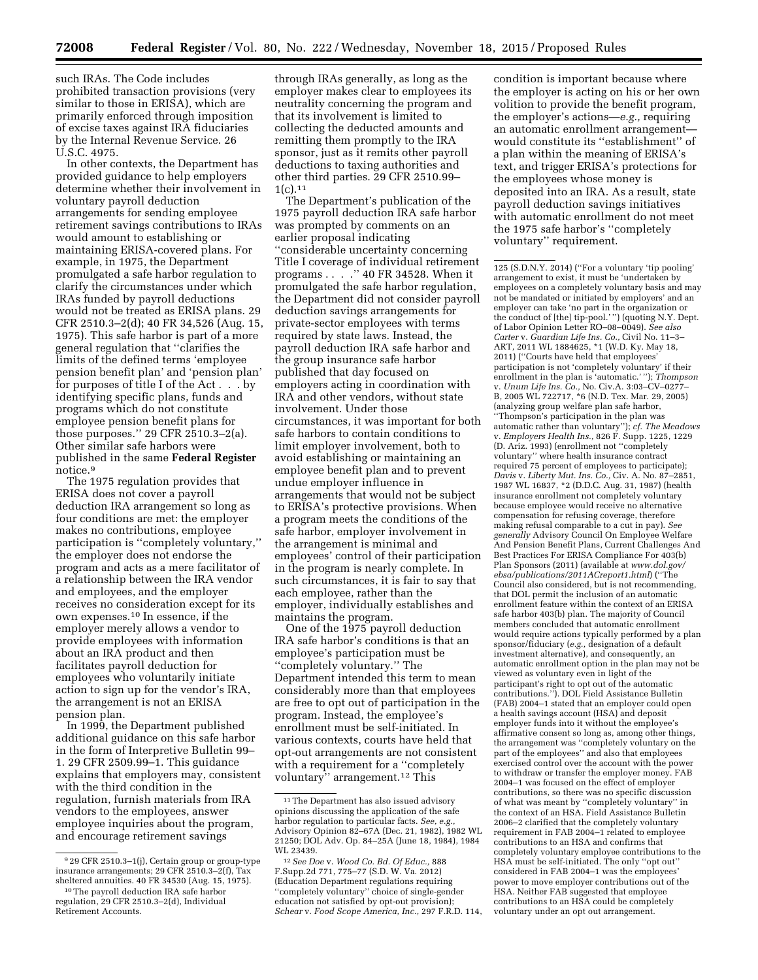such IRAs. The Code includes prohibited transaction provisions (very similar to those in ERISA), which are primarily enforced through imposition of excise taxes against IRA fiduciaries by the Internal Revenue Service. 26 U.S.C. 4975.

In other contexts, the Department has provided guidance to help employers determine whether their involvement in voluntary payroll deduction arrangements for sending employee retirement savings contributions to IRAs would amount to establishing or maintaining ERISA-covered plans. For example, in 1975, the Department promulgated a safe harbor regulation to clarify the circumstances under which IRAs funded by payroll deductions would not be treated as ERISA plans. 29 CFR 2510.3–2(d); 40 FR 34,526 (Aug. 15, 1975). This safe harbor is part of a more general regulation that ''clarifies the limits of the defined terms 'employee pension benefit plan' and 'pension plan' for purposes of title I of the Act . . . by identifying specific plans, funds and programs which do not constitute employee pension benefit plans for those purposes.'' 29 CFR 2510.3–2(a). Other similar safe harbors were published in the same **Federal Register**  notice.9

The 1975 regulation provides that ERISA does not cover a payroll deduction IRA arrangement so long as four conditions are met: the employer makes no contributions, employee participation is ''completely voluntary,'' the employer does not endorse the program and acts as a mere facilitator of a relationship between the IRA vendor and employees, and the employer receives no consideration except for its own expenses.10 In essence, if the employer merely allows a vendor to provide employees with information about an IRA product and then facilitates payroll deduction for employees who voluntarily initiate action to sign up for the vendor's IRA, the arrangement is not an ERISA pension plan.

In 1999, the Department published additional guidance on this safe harbor in the form of Interpretive Bulletin 99– 1. 29 CFR 2509.99–1. This guidance explains that employers may, consistent with the third condition in the regulation, furnish materials from IRA vendors to the employees, answer employee inquiries about the program, and encourage retirement savings

through IRAs generally, as long as the employer makes clear to employees its neutrality concerning the program and that its involvement is limited to collecting the deducted amounts and remitting them promptly to the IRA sponsor, just as it remits other payroll deductions to taxing authorities and other third parties. 29 CFR 2510.99–  $1(c).11$ 

The Department's publication of the 1975 payroll deduction IRA safe harbor was prompted by comments on an earlier proposal indicating ''considerable uncertainty concerning Title I coverage of individual retirement programs . . . .'' 40 FR 34528. When it promulgated the safe harbor regulation, the Department did not consider payroll deduction savings arrangements for private-sector employees with terms required by state laws. Instead, the payroll deduction IRA safe harbor and the group insurance safe harbor published that day focused on employers acting in coordination with IRA and other vendors, without state involvement. Under those circumstances, it was important for both safe harbors to contain conditions to limit employer involvement, both to avoid establishing or maintaining an employee benefit plan and to prevent undue employer influence in arrangements that would not be subject to ERISA's protective provisions. When a program meets the conditions of the safe harbor, employer involvement in the arrangement is minimal and employees' control of their participation in the program is nearly complete. In such circumstances, it is fair to say that each employee, rather than the employer, individually establishes and maintains the program.

One of the 1975 payroll deduction IRA safe harbor's conditions is that an employee's participation must be ''completely voluntary.'' The Department intended this term to mean considerably more than that employees are free to opt out of participation in the program. Instead, the employee's enrollment must be self-initiated. In various contexts, courts have held that opt-out arrangements are not consistent with a requirement for a "completely voluntary'' arrangement.12 This

condition is important because where the employer is acting on his or her own volition to provide the benefit program, the employer's actions—*e.g.,* requiring an automatic enrollment arrangement would constitute its ''establishment'' of a plan within the meaning of ERISA's text, and trigger ERISA's protections for the employees whose money is deposited into an IRA. As a result, state payroll deduction savings initiatives with automatic enrollment do not meet the 1975 safe harbor's ''completely voluntary'' requirement.

125 (S.D.N.Y. 2014) (''For a voluntary 'tip pooling' arrangement to exist, it must be 'undertaken by employees on a completely voluntary basis and may not be mandated or initiated by employers' and an employer can take 'no part in the organization or the conduct of [the] tip-pool.' '') (quoting N.Y. Dept. of Labor Opinion Letter RO–08–0049). *See also Carter* v. *Guardian Life Ins. Co.,* Civil No. 11–3– ART, 2011 WL 1884625, \*1 (W.D. Ky. May 18, 2011) (''Courts have held that employees' participation is not 'completely voluntary' if their enrollment in the plan is 'automatic.' ''); *Thompson*  v. *Unum Life Ins. Co.,* No. Civ.A. 3:03–CV–0277– B, 2005 WL 722717, \*6 (N.D. Tex. Mar. 29, 2005) (analyzing group welfare plan safe harbor, ''Thompson's participation in the plan was automatic rather than voluntary''); *cf. The Meadows*  v. *Employers Health Ins.,* 826 F. Supp. 1225, 1229 (D. Ariz. 1993) (enrollment not ''completely voluntary'' where health insurance contract required 75 percent of employees to participate); *Davis* v. *Liberty Mut. Ins. Co.,* Civ. A. No. 87–2851, 1987 WL 16837, \*2 (D.D.C. Aug. 31, 1987) (health insurance enrollment not completely voluntary because employee would receive no alternative compensation for refusing coverage, therefore making refusal comparable to a cut in pay). *See generally* Advisory Council On Employee Welfare And Pension Benefit Plans, Current Challenges And Best Practices For ERISA Compliance For 403(b) Plan Sponsors (2011) (available at *[www.dol.gov/](http://www.dol.gov/ebsa/publications/2011ACreport1.html) [ebsa/publications/2011ACreport1.html](http://www.dol.gov/ebsa/publications/2011ACreport1.html)*) (''The Council also considered, but is not recommending, that DOL permit the inclusion of an automatic enrollment feature within the context of an ERISA safe harbor 403(b) plan. The majority of Council members concluded that automatic enrollment would require actions typically performed by a plan sponsor/fiduciary (*e.g.,* designation of a default investment alternative), and consequently, an automatic enrollment option in the plan may not be viewed as voluntary even in light of the participant's right to opt out of the automatic contributions.''). DOL Field Assistance Bulletin (FAB) 2004–1 stated that an employer could open a health savings account (HSA) and deposit employer funds into it without the employee's affirmative consent so long as, among other things, the arrangement was ''completely voluntary on the part of the employees'' and also that employees exercised control over the account with the power to withdraw or transfer the employer money. FAB 2004–1 was focused on the effect of employer contributions, so there was no specific discussion of what was meant by ''completely voluntary'' in the context of an HSA. Field Assistance Bulletin 2006–2 clarified that the completely voluntary requirement in FAB 2004–1 related to employee contributions to an HSA and confirms that completely voluntary employee contributions to the HSA must be self-initiated. The only ''opt out'' considered in FAB 2004–1 was the employees' power to move employer contributions out of the HSA. Neither FAB suggested that employee contributions to an HSA could be completely voluntary under an opt out arrangement.

<sup>9</sup> 29 CFR 2510.3–1(j), Certain group or group-type insurance arrangements; 29 CFR 2510.3–2(f), Tax sheltered annuities. 40 FR 34530 (Aug. 15, 1975).

<sup>10</sup>The payroll deduction IRA safe harbor regulation, 29 CFR 2510.3–2(d), Individual Retirement Accounts.

 $^{\rm 11}\!$  The Department has also issued advisory opinions discussing the application of the safe harbor regulation to particular facts. See, e.g. Advisory Opinion 82–67A (Dec. 21, 1982), 1982 WL 21250; DOL Adv. Op. 84–25A (June 18, 1984), 1984 WL 23439.

<sup>12</sup>*See Doe* v. *Wood Co. Bd. Of Educ.,* 888 F.Supp.2d 771, 775–77 (S.D. W. Va. 2012) (Education Department regulations requiring ''completely voluntary'' choice of single-gender education not satisfied by opt-out provision); *Schear* v. *Food Scope America, Inc.,* 297 F.R.D. 114,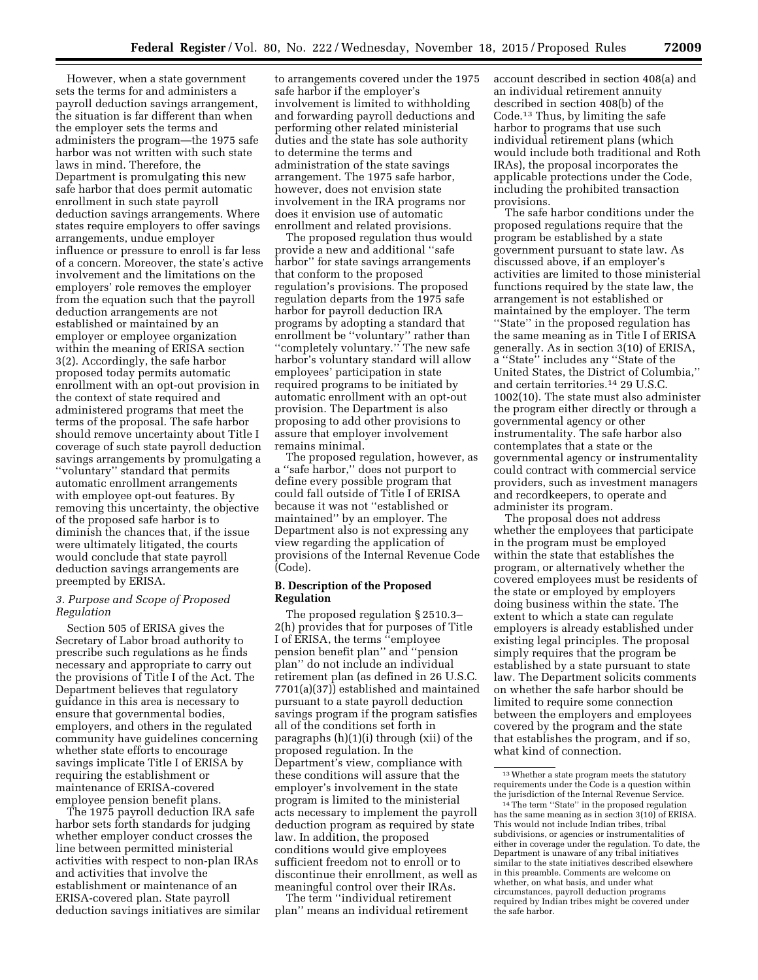However, when a state government sets the terms for and administers a payroll deduction savings arrangement, the situation is far different than when the employer sets the terms and administers the program—the 1975 safe harbor was not written with such state laws in mind. Therefore, the Department is promulgating this new safe harbor that does permit automatic enrollment in such state payroll deduction savings arrangements. Where states require employers to offer savings arrangements, undue employer influence or pressure to enroll is far less of a concern. Moreover, the state's active involvement and the limitations on the employers' role removes the employer from the equation such that the payroll deduction arrangements are not established or maintained by an employer or employee organization within the meaning of ERISA section 3(2). Accordingly, the safe harbor proposed today permits automatic enrollment with an opt-out provision in the context of state required and administered programs that meet the terms of the proposal. The safe harbor should remove uncertainty about Title I coverage of such state payroll deduction savings arrangements by promulgating a ''voluntary'' standard that permits automatic enrollment arrangements with employee opt-out features. By removing this uncertainty, the objective of the proposed safe harbor is to diminish the chances that, if the issue were ultimately litigated, the courts would conclude that state payroll deduction savings arrangements are preempted by ERISA.

### *3. Purpose and Scope of Proposed Regulation*

Section 505 of ERISA gives the Secretary of Labor broad authority to prescribe such regulations as he finds necessary and appropriate to carry out the provisions of Title I of the Act. The Department believes that regulatory guidance in this area is necessary to ensure that governmental bodies, employers, and others in the regulated community have guidelines concerning whether state efforts to encourage savings implicate Title I of ERISA by requiring the establishment or maintenance of ERISA-covered employee pension benefit plans.

The 1975 payroll deduction IRA safe harbor sets forth standards for judging whether employer conduct crosses the line between permitted ministerial activities with respect to non-plan IRAs and activities that involve the establishment or maintenance of an ERISA-covered plan. State payroll deduction savings initiatives are similar

to arrangements covered under the 1975 safe harbor if the employer's involvement is limited to withholding and forwarding payroll deductions and performing other related ministerial duties and the state has sole authority to determine the terms and administration of the state savings arrangement. The 1975 safe harbor, however, does not envision state involvement in the IRA programs nor does it envision use of automatic enrollment and related provisions.

The proposed regulation thus would provide a new and additional ''safe harbor'' for state savings arrangements that conform to the proposed regulation's provisions. The proposed regulation departs from the 1975 safe harbor for payroll deduction IRA programs by adopting a standard that enrollment be ''voluntary'' rather than ''completely voluntary.'' The new safe harbor's voluntary standard will allow employees' participation in state required programs to be initiated by automatic enrollment with an opt-out provision. The Department is also proposing to add other provisions to assure that employer involvement remains minimal.

The proposed regulation, however, as a ''safe harbor,'' does not purport to define every possible program that could fall outside of Title I of ERISA because it was not ''established or maintained'' by an employer. The Department also is not expressing any view regarding the application of provisions of the Internal Revenue Code (Code).

### **B. Description of the Proposed Regulation**

The proposed regulation § 2510.3– 2(h) provides that for purposes of Title I of ERISA, the terms ''employee pension benefit plan'' and ''pension plan'' do not include an individual retirement plan (as defined in 26 U.S.C. 7701(a)(37)) established and maintained pursuant to a state payroll deduction savings program if the program satisfies all of the conditions set forth in paragraphs (h)(1)(i) through (xii) of the proposed regulation. In the Department's view, compliance with these conditions will assure that the employer's involvement in the state program is limited to the ministerial acts necessary to implement the payroll deduction program as required by state law. In addition, the proposed conditions would give employees sufficient freedom not to enroll or to discontinue their enrollment, as well as meaningful control over their IRAs.

The term ''individual retirement plan'' means an individual retirement account described in section 408(a) and an individual retirement annuity described in section 408(b) of the Code.13 Thus, by limiting the safe harbor to programs that use such individual retirement plans (which would include both traditional and Roth IRAs), the proposal incorporates the applicable protections under the Code, including the prohibited transaction provisions.

The safe harbor conditions under the proposed regulations require that the program be established by a state government pursuant to state law. As discussed above, if an employer's activities are limited to those ministerial functions required by the state law, the arrangement is not established or maintained by the employer. The term ''State'' in the proposed regulation has the same meaning as in Title I of ERISA generally. As in section 3(10) of ERISA, a ''State'' includes any ''State of the United States, the District of Columbia,'' and certain territories.14 29 U.S.C. 1002(10). The state must also administer the program either directly or through a governmental agency or other instrumentality. The safe harbor also contemplates that a state or the governmental agency or instrumentality could contract with commercial service providers, such as investment managers and recordkeepers, to operate and administer its program.

The proposal does not address whether the employees that participate in the program must be employed within the state that establishes the program, or alternatively whether the covered employees must be residents of the state or employed by employers doing business within the state. The extent to which a state can regulate employers is already established under existing legal principles. The proposal simply requires that the program be established by a state pursuant to state law. The Department solicits comments on whether the safe harbor should be limited to require some connection between the employers and employees covered by the program and the state that establishes the program, and if so, what kind of connection.

<sup>13</sup>Whether a state program meets the statutory requirements under the Code is a question within<br>the jurisdiction of the Internal Revenue Service.

<sup>&</sup>lt;sup>14</sup> The term "State" in the proposed regulation has the same meaning as in section 3(10) of ERISA. This would not include Indian tribes, tribal subdivisions, or agencies or instrumentalities of either in coverage under the regulation. To date, the Department is unaware of any tribal initiatives similar to the state initiatives described elsewhere in this preamble. Comments are welcome on whether, on what basis, and under what circumstances, payroll deduction programs required by Indian tribes might be covered under the safe harbor.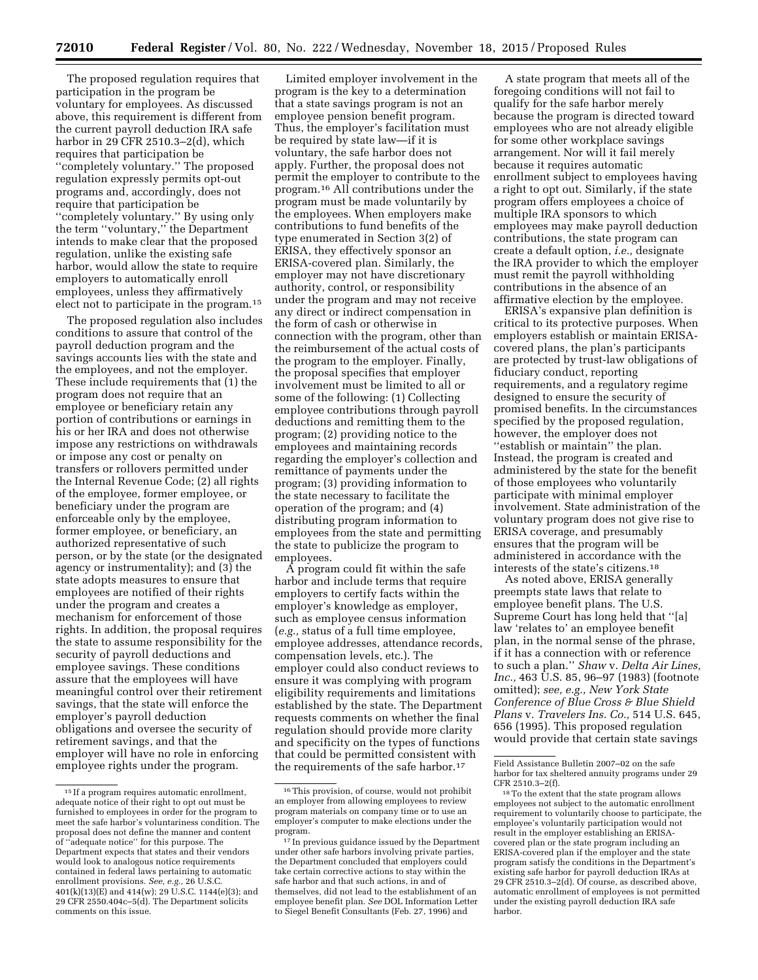The proposed regulation requires that participation in the program be voluntary for employees. As discussed above, this requirement is different from the current payroll deduction IRA safe harbor in 29 CFR 2510.3–2(d), which requires that participation be ''completely voluntary.'' The proposed regulation expressly permits opt-out programs and, accordingly, does not require that participation be ''completely voluntary.'' By using only the term ''voluntary,'' the Department intends to make clear that the proposed regulation, unlike the existing safe harbor, would allow the state to require employers to automatically enroll employees, unless they affirmatively elect not to participate in the program.15

The proposed regulation also includes conditions to assure that control of the payroll deduction program and the savings accounts lies with the state and the employees, and not the employer. These include requirements that (1) the program does not require that an employee or beneficiary retain any portion of contributions or earnings in his or her IRA and does not otherwise impose any restrictions on withdrawals or impose any cost or penalty on transfers or rollovers permitted under the Internal Revenue Code; (2) all rights of the employee, former employee, or beneficiary under the program are enforceable only by the employee, former employee, or beneficiary, an authorized representative of such person, or by the state (or the designated agency or instrumentality); and (3) the state adopts measures to ensure that employees are notified of their rights under the program and creates a mechanism for enforcement of those rights. In addition, the proposal requires the state to assume responsibility for the security of payroll deductions and employee savings. These conditions assure that the employees will have meaningful control over their retirement savings, that the state will enforce the employer's payroll deduction obligations and oversee the security of retirement savings, and that the employer will have no role in enforcing employee rights under the program.

Limited employer involvement in the program is the key to a determination that a state savings program is not an employee pension benefit program. Thus, the employer's facilitation must be required by state law—if it is voluntary, the safe harbor does not apply. Further, the proposal does not permit the employer to contribute to the program.16 All contributions under the program must be made voluntarily by the employees. When employers make contributions to fund benefits of the type enumerated in Section 3(2) of ERISA, they effectively sponsor an ERISA-covered plan. Similarly, the employer may not have discretionary authority, control, or responsibility under the program and may not receive any direct or indirect compensation in the form of cash or otherwise in connection with the program, other than the reimbursement of the actual costs of the program to the employer. Finally, the proposal specifies that employer involvement must be limited to all or some of the following: (1) Collecting employee contributions through payroll deductions and remitting them to the program; (2) providing notice to the employees and maintaining records regarding the employer's collection and remittance of payments under the program; (3) providing information to the state necessary to facilitate the operation of the program; and (4) distributing program information to employees from the state and permitting the state to publicize the program to employees.

A program could fit within the safe harbor and include terms that require employers to certify facts within the employer's knowledge as employer, such as employee census information (*e.g.,* status of a full time employee, employee addresses, attendance records, compensation levels, etc.). The employer could also conduct reviews to ensure it was complying with program eligibility requirements and limitations established by the state. The Department requests comments on whether the final regulation should provide more clarity and specificity on the types of functions that could be permitted consistent with the requirements of the safe harbor.17

A state program that meets all of the foregoing conditions will not fail to qualify for the safe harbor merely because the program is directed toward employees who are not already eligible for some other workplace savings arrangement. Nor will it fail merely because it requires automatic enrollment subject to employees having a right to opt out. Similarly, if the state program offers employees a choice of multiple IRA sponsors to which employees may make payroll deduction contributions, the state program can create a default option, *i.e.,* designate the IRA provider to which the employer must remit the payroll withholding contributions in the absence of an affirmative election by the employee.

ERISA's expansive plan definition is critical to its protective purposes. When employers establish or maintain ERISAcovered plans, the plan's participants are protected by trust-law obligations of fiduciary conduct, reporting requirements, and a regulatory regime designed to ensure the security of promised benefits. In the circumstances specified by the proposed regulation, however, the employer does not ''establish or maintain'' the plan. Instead, the program is created and administered by the state for the benefit of those employees who voluntarily participate with minimal employer involvement. State administration of the voluntary program does not give rise to ERISA coverage, and presumably ensures that the program will be administered in accordance with the interests of the state's citizens.18

As noted above, ERISA generally preempts state laws that relate to employee benefit plans. The U.S. Supreme Court has long held that ''[a] law 'relates to' an employee benefit plan, in the normal sense of the phrase, if it has a connection with or reference to such a plan.'' *Shaw* v. *Delta Air Lines, Inc.*, 463 U.S. 85, 96–97 (1983) (footnote omitted); *see, e.g., New York State Conference of Blue Cross & Blue Shield Plans* v. *Travelers Ins. Co.,* 514 U.S. 645, 656 (1995). This proposed regulation would provide that certain state savings

<sup>15</sup> If a program requires automatic enrollment, adequate notice of their right to opt out must be furnished to employees in order for the program to meet the safe harbor's voluntariness condition. The proposal does not define the manner and content of ''adequate notice'' for this purpose. The Department expects that states and their vendors would look to analogous notice requirements contained in federal laws pertaining to automatic enrollment provisions. *See, e.g.,* 26 U.S.C. 401(k)(13)(E) and 414(w); 29 U.S.C. 1144(e)(3); and 29 CFR 2550.404c–5(d). The Department solicits comments on this issue.

<sup>16</sup>This provision, of course, would not prohibit an employer from allowing employees to review program materials on company time or to use an employer's computer to make elections under the program.

<sup>17</sup> In previous guidance issued by the Department under other safe harbors involving private parties, the Department concluded that employers could take certain corrective actions to stay within the safe harbor and that such actions, in and of themselves, did not lead to the establishment of an employee benefit plan. *See* DOL Information Letter to Siegel Benefit Consultants (Feb. 27, 1996) and

Field Assistance Bulletin 2007–02 on the safe harbor for tax sheltered annuity programs under 29 CFR 2510.3–2(f).

<sup>18</sup>To the extent that the state program allows employees not subject to the automatic enrollment requirement to voluntarily choose to participate, the employee's voluntarily participation would not result in the employer establishing an ERISAcovered plan or the state program including an ERISA-covered plan if the employer and the state program satisfy the conditions in the Department's existing safe harbor for payroll deduction IRAs at 29 CFR 2510.3–2(d). Of course, as described above, automatic enrollment of employees is not permitted under the existing payroll deduction IRA safe harbor.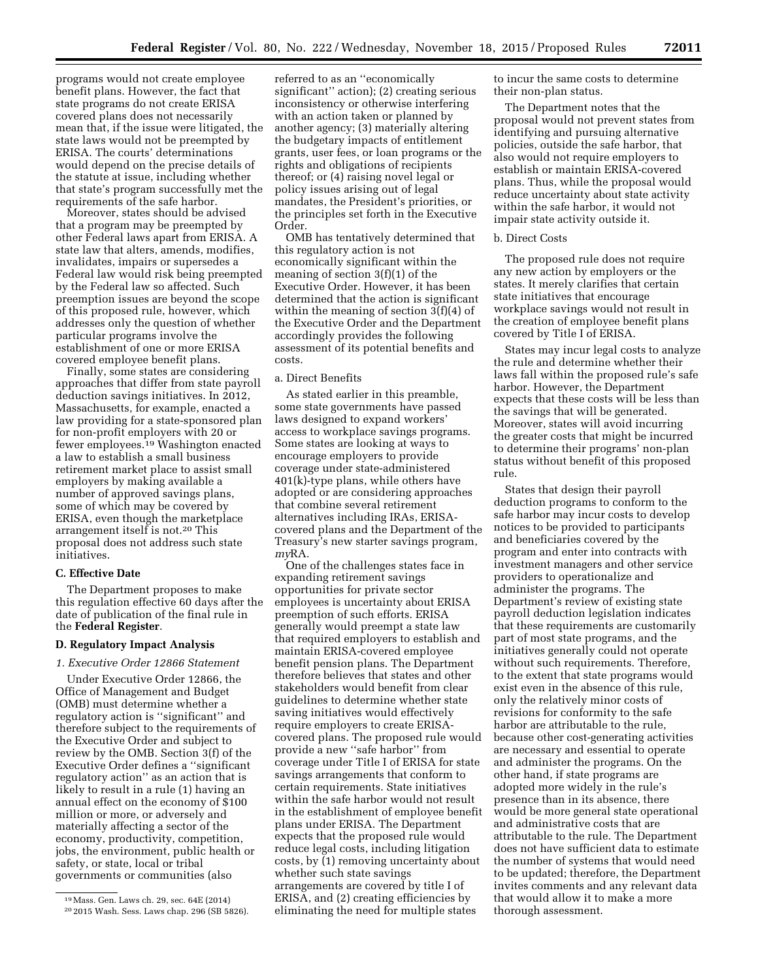programs would not create employee benefit plans. However, the fact that state programs do not create ERISA covered plans does not necessarily mean that, if the issue were litigated, the state laws would not be preempted by ERISA. The courts' determinations would depend on the precise details of the statute at issue, including whether that state's program successfully met the requirements of the safe harbor.

Moreover, states should be advised that a program may be preempted by other Federal laws apart from ERISA. A state law that alters, amends, modifies, invalidates, impairs or supersedes a Federal law would risk being preempted by the Federal law so affected. Such preemption issues are beyond the scope of this proposed rule, however, which addresses only the question of whether particular programs involve the establishment of one or more ERISA covered employee benefit plans.

Finally, some states are considering approaches that differ from state payroll deduction savings initiatives. In 2012, Massachusetts, for example, enacted a law providing for a state-sponsored plan for non-profit employers with 20 or fewer employees.19 Washington enacted a law to establish a small business retirement market place to assist small employers by making available a number of approved savings plans, some of which may be covered by ERISA, even though the marketplace arrangement itself is not.20 This proposal does not address such state initiatives.

## **C. Effective Date**

The Department proposes to make this regulation effective 60 days after the date of publication of the final rule in the **Federal Register**.

### **D. Regulatory Impact Analysis**

*1. Executive Order 12866 Statement* 

Under Executive Order 12866, the Office of Management and Budget (OMB) must determine whether a regulatory action is ''significant'' and therefore subject to the requirements of the Executive Order and subject to review by the OMB. Section 3(f) of the Executive Order defines a ''significant regulatory action'' as an action that is likely to result in a rule (1) having an annual effect on the economy of \$100 million or more, or adversely and materially affecting a sector of the economy, productivity, competition, jobs, the environment, public health or safety, or state, local or tribal governments or communities (also

referred to as an ''economically significant'' action); (2) creating serious inconsistency or otherwise interfering with an action taken or planned by another agency; (3) materially altering the budgetary impacts of entitlement grants, user fees, or loan programs or the rights and obligations of recipients thereof; or (4) raising novel legal or policy issues arising out of legal mandates, the President's priorities, or the principles set forth in the Executive Order.

OMB has tentatively determined that this regulatory action is not economically significant within the meaning of section 3(f)(1) of the Executive Order. However, it has been determined that the action is significant within the meaning of section 3(f)(4) of the Executive Order and the Department accordingly provides the following assessment of its potential benefits and costs.

### a. Direct Benefits

As stated earlier in this preamble, some state governments have passed laws designed to expand workers' access to workplace savings programs. Some states are looking at ways to encourage employers to provide coverage under state-administered 401(k)-type plans, while others have adopted or are considering approaches that combine several retirement alternatives including IRAs, ERISAcovered plans and the Department of the Treasury's new starter savings program, *my*RA.

One of the challenges states face in expanding retirement savings opportunities for private sector employees is uncertainty about ERISA preemption of such efforts. ERISA generally would preempt a state law that required employers to establish and maintain ERISA-covered employee benefit pension plans. The Department therefore believes that states and other stakeholders would benefit from clear guidelines to determine whether state saving initiatives would effectively require employers to create ERISAcovered plans. The proposed rule would provide a new ''safe harbor'' from coverage under Title I of ERISA for state savings arrangements that conform to certain requirements. State initiatives within the safe harbor would not result in the establishment of employee benefit plans under ERISA. The Department expects that the proposed rule would reduce legal costs, including litigation costs, by (1) removing uncertainty about whether such state savings arrangements are covered by title I of ERISA, and (2) creating efficiencies by eliminating the need for multiple states

to incur the same costs to determine their non-plan status.

The Department notes that the proposal would not prevent states from identifying and pursuing alternative policies, outside the safe harbor, that also would not require employers to establish or maintain ERISA-covered plans. Thus, while the proposal would reduce uncertainty about state activity within the safe harbor, it would not impair state activity outside it.

### b. Direct Costs

The proposed rule does not require any new action by employers or the states. It merely clarifies that certain state initiatives that encourage workplace savings would not result in the creation of employee benefit plans covered by Title I of ERISA.

States may incur legal costs to analyze the rule and determine whether their laws fall within the proposed rule's safe harbor. However, the Department expects that these costs will be less than the savings that will be generated. Moreover, states will avoid incurring the greater costs that might be incurred to determine their programs' non-plan status without benefit of this proposed rule.

States that design their payroll deduction programs to conform to the safe harbor may incur costs to develop notices to be provided to participants and beneficiaries covered by the program and enter into contracts with investment managers and other service providers to operationalize and administer the programs. The Department's review of existing state payroll deduction legislation indicates that these requirements are customarily part of most state programs, and the initiatives generally could not operate without such requirements. Therefore, to the extent that state programs would exist even in the absence of this rule, only the relatively minor costs of revisions for conformity to the safe harbor are attributable to the rule, because other cost-generating activities are necessary and essential to operate and administer the programs. On the other hand, if state programs are adopted more widely in the rule's presence than in its absence, there would be more general state operational and administrative costs that are attributable to the rule. The Department does not have sufficient data to estimate the number of systems that would need to be updated; therefore, the Department invites comments and any relevant data that would allow it to make a more thorough assessment.

<sup>19</sup>Mass. Gen. Laws ch. 29, sec. 64E (2014) 20 2015 Wash. Sess. Laws chap. 296 (SB 5826).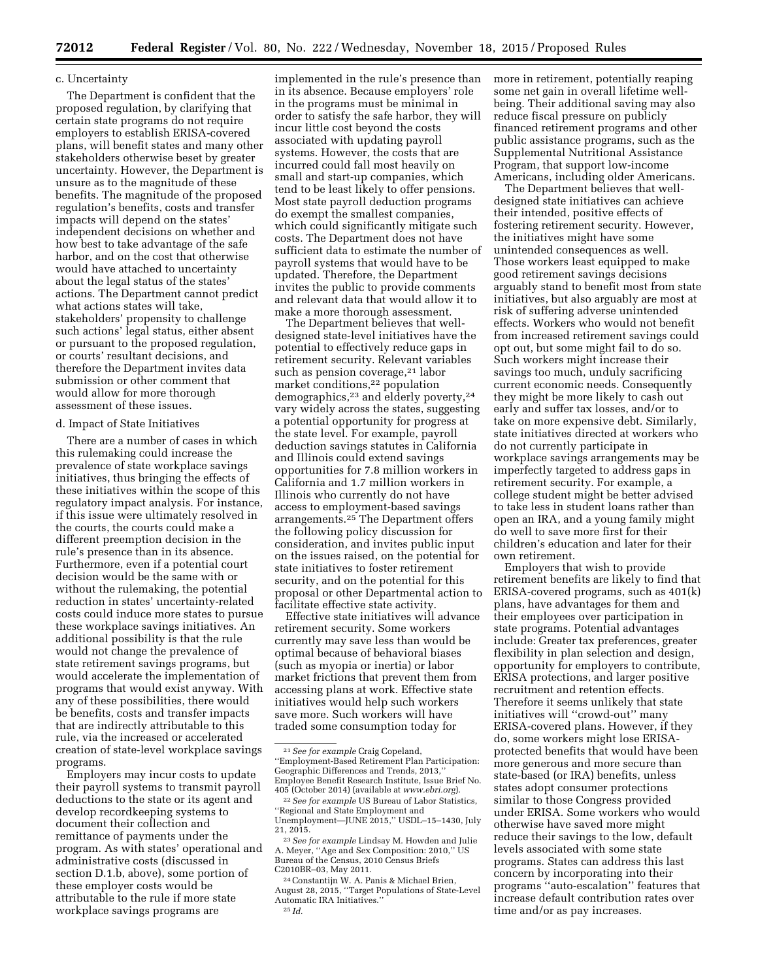### c. Uncertainty

The Department is confident that the proposed regulation, by clarifying that certain state programs do not require employers to establish ERISA-covered plans, will benefit states and many other stakeholders otherwise beset by greater uncertainty. However, the Department is unsure as to the magnitude of these benefits. The magnitude of the proposed regulation's benefits, costs and transfer impacts will depend on the states' independent decisions on whether and how best to take advantage of the safe harbor, and on the cost that otherwise would have attached to uncertainty about the legal status of the states' actions. The Department cannot predict what actions states will take, stakeholders' propensity to challenge such actions' legal status, either absent or pursuant to the proposed regulation, or courts' resultant decisions, and therefore the Department invites data submission or other comment that would allow for more thorough assessment of these issues.

#### d. Impact of State Initiatives

There are a number of cases in which this rulemaking could increase the prevalence of state workplace savings initiatives, thus bringing the effects of these initiatives within the scope of this regulatory impact analysis. For instance, if this issue were ultimately resolved in the courts, the courts could make a different preemption decision in the rule's presence than in its absence. Furthermore, even if a potential court decision would be the same with or without the rulemaking, the potential reduction in states' uncertainty-related costs could induce more states to pursue these workplace savings initiatives. An additional possibility is that the rule would not change the prevalence of state retirement savings programs, but would accelerate the implementation of programs that would exist anyway. With any of these possibilities, there would be benefits, costs and transfer impacts that are indirectly attributable to this rule, via the increased or accelerated creation of state-level workplace savings programs.

Employers may incur costs to update their payroll systems to transmit payroll deductions to the state or its agent and develop recordkeeping systems to document their collection and remittance of payments under the program. As with states' operational and administrative costs (discussed in section D.1.b, above), some portion of these employer costs would be attributable to the rule if more state workplace savings programs are

implemented in the rule's presence than in its absence. Because employers' role in the programs must be minimal in order to satisfy the safe harbor, they will incur little cost beyond the costs associated with updating payroll systems. However, the costs that are incurred could fall most heavily on small and start-up companies, which tend to be least likely to offer pensions. Most state payroll deduction programs do exempt the smallest companies, which could significantly mitigate such costs. The Department does not have sufficient data to estimate the number of payroll systems that would have to be updated. Therefore, the Department invites the public to provide comments and relevant data that would allow it to make a more thorough assessment.

The Department believes that welldesigned state-level initiatives have the potential to effectively reduce gaps in retirement security. Relevant variables such as pension coverage,<sup>21</sup> labor market conditions,22 population demographics,<sup>23</sup> and elderly poverty,<sup>24</sup> vary widely across the states, suggesting a potential opportunity for progress at the state level. For example, payroll deduction savings statutes in California and Illinois could extend savings opportunities for 7.8 million workers in California and 1.7 million workers in Illinois who currently do not have access to employment-based savings arrangements.25 The Department offers the following policy discussion for consideration, and invites public input on the issues raised, on the potential for state initiatives to foster retirement security, and on the potential for this proposal or other Departmental action to facilitate effective state activity.

Effective state initiatives will advance retirement security. Some workers currently may save less than would be optimal because of behavioral biases (such as myopia or inertia) or labor market frictions that prevent them from accessing plans at work. Effective state initiatives would help such workers save more. Such workers will have traded some consumption today for

more in retirement, potentially reaping some net gain in overall lifetime wellbeing. Their additional saving may also reduce fiscal pressure on publicly financed retirement programs and other public assistance programs, such as the Supplemental Nutritional Assistance Program, that support low-income Americans, including older Americans.

The Department believes that welldesigned state initiatives can achieve their intended, positive effects of fostering retirement security. However, the initiatives might have some unintended consequences as well. Those workers least equipped to make good retirement savings decisions arguably stand to benefit most from state initiatives, but also arguably are most at risk of suffering adverse unintended effects. Workers who would not benefit from increased retirement savings could opt out, but some might fail to do so. Such workers might increase their savings too much, unduly sacrificing current economic needs. Consequently they might be more likely to cash out early and suffer tax losses, and/or to take on more expensive debt. Similarly, state initiatives directed at workers who do not currently participate in workplace savings arrangements may be imperfectly targeted to address gaps in retirement security. For example, a college student might be better advised to take less in student loans rather than open an IRA, and a young family might do well to save more first for their children's education and later for their own retirement.

Employers that wish to provide retirement benefits are likely to find that ERISA-covered programs, such as 401(k) plans, have advantages for them and their employees over participation in state programs. Potential advantages include: Greater tax preferences, greater flexibility in plan selection and design, opportunity for employers to contribute, ERISA protections, and larger positive recruitment and retention effects. Therefore it seems unlikely that state initiatives will "crowd-out" many ERISA-covered plans. However, if they do, some workers might lose ERISAprotected benefits that would have been more generous and more secure than state-based (or IRA) benefits, unless states adopt consumer protections similar to those Congress provided under ERISA. Some workers who would otherwise have saved more might reduce their savings to the low, default levels associated with some state programs. States can address this last concern by incorporating into their programs ''auto-escalation'' features that increase default contribution rates over time and/or as pay increases.

<sup>21</sup>*See for example* Craig Copeland, ''Employment-Based Retirement Plan Participation: Geographic Differences and Trends, 2013,'' Employee Benefit Research Institute, Issue Brief No.<br>405 (October 2014) (available at www.ebri.org).

<sup>&</sup>lt;sup>22</sup> See for example US Bureau of Labor Statistics, ''Regional and State Employment and Unemployment—JUNE 2015," USDL-15-1430, July<br>21. 2015.

<sup>&</sup>lt;sup>23</sup> See for example Lindsay M. Howden and Julie A. Meyer, ''Age and Sex Composition: 2010,'' US Bureau of the Census, 2010 Census Briefs C2010BR–03, May 2011.

<sup>24</sup>Constantijn W. A. Panis & Michael Brien, August 28, 2015, ''Target Populations of State-Level Automatic IRA Initiatives.'' 25 *Id.*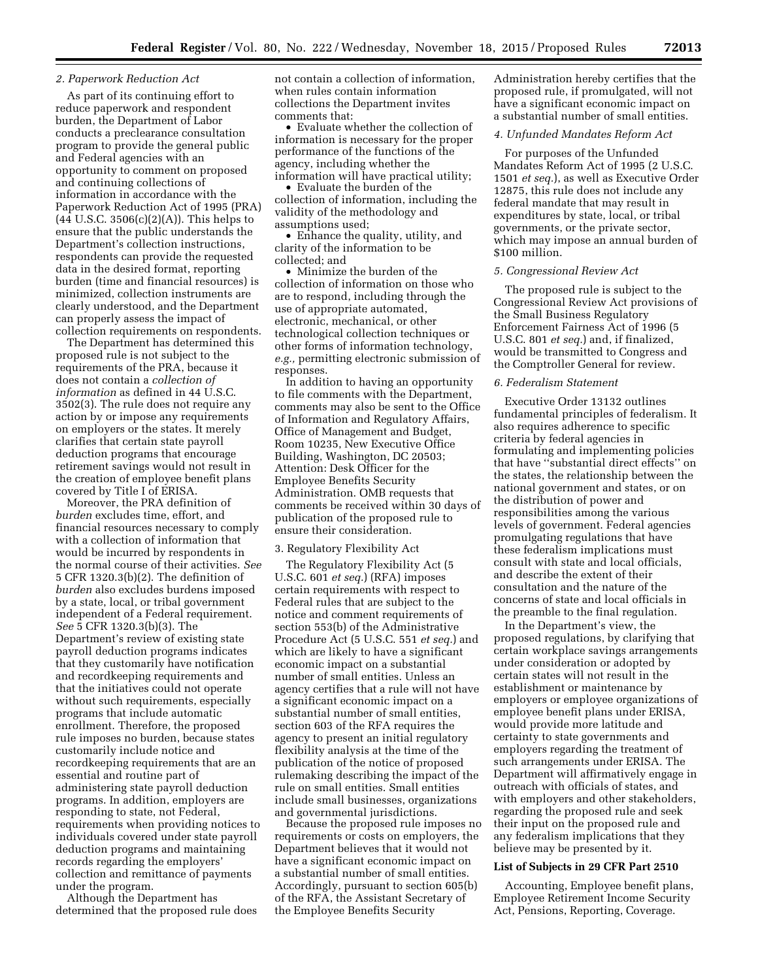# *2. Paperwork Reduction Act*

As part of its continuing effort to reduce paperwork and respondent burden, the Department of Labor conducts a preclearance consultation program to provide the general public and Federal agencies with an opportunity to comment on proposed and continuing collections of information in accordance with the Paperwork Reduction Act of 1995 (PRA) (44 U.S.C. 3506(c)(2)(A)). This helps to ensure that the public understands the Department's collection instructions, respondents can provide the requested data in the desired format, reporting burden (time and financial resources) is minimized, collection instruments are clearly understood, and the Department can properly assess the impact of collection requirements on respondents.

The Department has determined this proposed rule is not subject to the requirements of the PRA, because it does not contain a *collection of information* as defined in 44 U.S.C. 3502(3). The rule does not require any action by or impose any requirements on employers or the states. It merely clarifies that certain state payroll deduction programs that encourage retirement savings would not result in the creation of employee benefit plans covered by Title I of ERISA.

Moreover, the PRA definition of *burden* excludes time, effort, and financial resources necessary to comply with a collection of information that would be incurred by respondents in the normal course of their activities. *See*  5 CFR 1320.3(b)(2). The definition of *burden* also excludes burdens imposed by a state, local, or tribal government independent of a Federal requirement. *See* 5 CFR 1320.3(b)(3). The Department's review of existing state payroll deduction programs indicates that they customarily have notification and recordkeeping requirements and that the initiatives could not operate without such requirements, especially programs that include automatic enrollment. Therefore, the proposed rule imposes no burden, because states customarily include notice and recordkeeping requirements that are an essential and routine part of administering state payroll deduction programs. In addition, employers are responding to state, not Federal, requirements when providing notices to individuals covered under state payroll deduction programs and maintaining records regarding the employers' collection and remittance of payments under the program.

Although the Department has determined that the proposed rule does not contain a collection of information, when rules contain information collections the Department invites comments that:

• Evaluate whether the collection of information is necessary for the proper performance of the functions of the agency, including whether the information will have practical utility;

• Evaluate the burden of the collection of information, including the validity of the methodology and assumptions used;

• Enhance the quality, utility, and clarity of the information to be collected; and

• Minimize the burden of the collection of information on those who are to respond, including through the use of appropriate automated, electronic, mechanical, or other technological collection techniques or other forms of information technology, *e.g.,* permitting electronic submission of responses.

In addition to having an opportunity to file comments with the Department, comments may also be sent to the Office of Information and Regulatory Affairs, Office of Management and Budget, Room 10235, New Executive Office Building, Washington, DC 20503; Attention: Desk Officer for the Employee Benefits Security Administration. OMB requests that comments be received within 30 days of publication of the proposed rule to ensure their consideration.

### 3. Regulatory Flexibility Act

The Regulatory Flexibility Act (5 U.S.C. 601 *et seq.*) (RFA) imposes certain requirements with respect to Federal rules that are subject to the notice and comment requirements of section 553(b) of the Administrative Procedure Act (5 U.S.C. 551 *et seq.*) and which are likely to have a significant economic impact on a substantial number of small entities. Unless an agency certifies that a rule will not have a significant economic impact on a substantial number of small entities, section 603 of the RFA requires the agency to present an initial regulatory flexibility analysis at the time of the publication of the notice of proposed rulemaking describing the impact of the rule on small entities. Small entities include small businesses, organizations and governmental jurisdictions.

Because the proposed rule imposes no requirements or costs on employers, the Department believes that it would not have a significant economic impact on a substantial number of small entities. Accordingly, pursuant to section 605(b) of the RFA, the Assistant Secretary of the Employee Benefits Security

Administration hereby certifies that the proposed rule, if promulgated, will not have a significant economic impact on a substantial number of small entities.

### *4. Unfunded Mandates Reform Act*

For purposes of the Unfunded Mandates Reform Act of 1995 (2 U.S.C. 1501 *et seq.*), as well as Executive Order 12875, this rule does not include any federal mandate that may result in expenditures by state, local, or tribal governments, or the private sector, which may impose an annual burden of \$100 million.

#### *5. Congressional Review Act*

The proposed rule is subject to the Congressional Review Act provisions of the Small Business Regulatory Enforcement Fairness Act of 1996 (5 U.S.C. 801 *et seq.*) and, if finalized, would be transmitted to Congress and the Comptroller General for review.

### *6. Federalism Statement*

Executive Order 13132 outlines fundamental principles of federalism. It also requires adherence to specific criteria by federal agencies in formulating and implementing policies that have ''substantial direct effects'' on the states, the relationship between the national government and states, or on the distribution of power and responsibilities among the various levels of government. Federal agencies promulgating regulations that have these federalism implications must consult with state and local officials, and describe the extent of their consultation and the nature of the concerns of state and local officials in the preamble to the final regulation.

In the Department's view, the proposed regulations, by clarifying that certain workplace savings arrangements under consideration or adopted by certain states will not result in the establishment or maintenance by employers or employee organizations of employee benefit plans under ERISA, would provide more latitude and certainty to state governments and employers regarding the treatment of such arrangements under ERISA. The Department will affirmatively engage in outreach with officials of states, and with employers and other stakeholders, regarding the proposed rule and seek their input on the proposed rule and any federalism implications that they believe may be presented by it.

#### **List of Subjects in 29 CFR Part 2510**

Accounting, Employee benefit plans, Employee Retirement Income Security Act, Pensions, Reporting, Coverage.